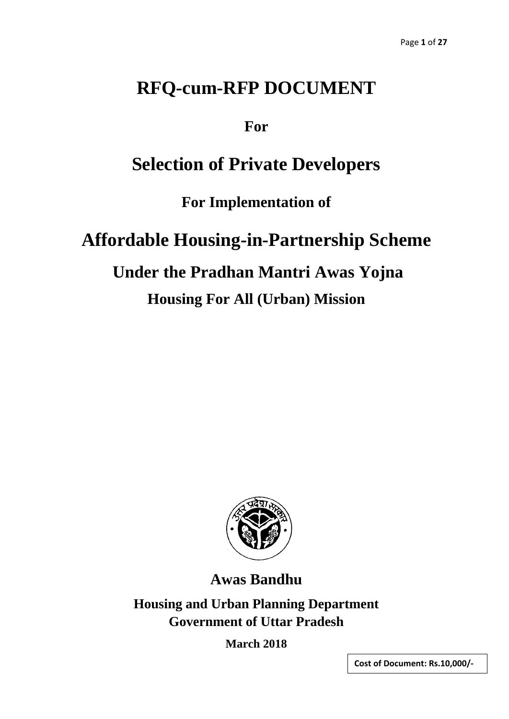# **RFQ-cum-RFP DOCUMENT**

**For**

# **Selection of Private Developers**

**For Implementation of**

# **Affordable Housing-in-Partnership Scheme**

# **Under the Pradhan Mantri Awas Yojna**

# **Housing For All (Urban) Mission**



**Awas Bandhu**

**Housing and Urban Planning Department Government of Uttar Pradesh**

**March 2018**

**Cost of Document: Rs.10,000/-**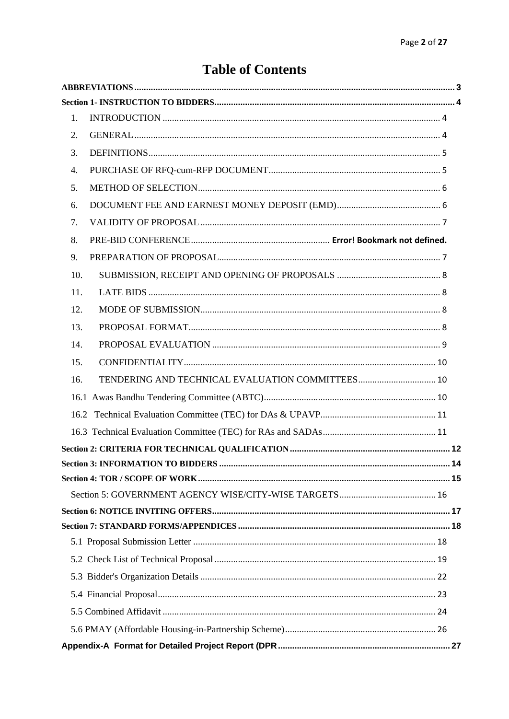## **Table of Contents**

| 1.  |  |
|-----|--|
| 2.  |  |
| 3.  |  |
| 4.  |  |
| 5.  |  |
| 6.  |  |
| 7.  |  |
| 8.  |  |
| 9.  |  |
| 10. |  |
| 11. |  |
| 12. |  |
| 13. |  |
| 14. |  |
| 15. |  |
| 16. |  |
|     |  |
|     |  |
|     |  |
|     |  |
|     |  |
|     |  |
|     |  |
|     |  |
|     |  |
|     |  |
|     |  |
|     |  |
|     |  |
|     |  |
|     |  |
|     |  |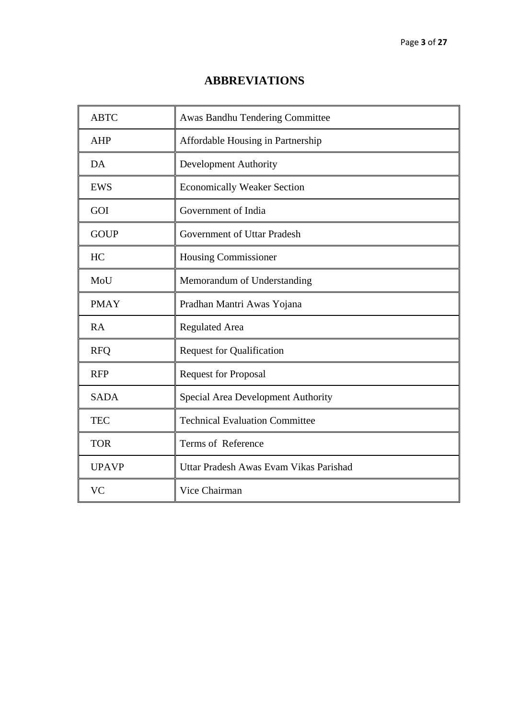### **ABBREVIATIONS**

<span id="page-2-0"></span>

| <b>ABTC</b>  | Awas Bandhu Tendering Committee        |
|--------------|----------------------------------------|
| <b>AHP</b>   | Affordable Housing in Partnership      |
| DA           | <b>Development Authority</b>           |
| <b>EWS</b>   | <b>Economically Weaker Section</b>     |
| GOI          | Government of India                    |
| <b>GOUP</b>  | Government of Uttar Pradesh            |
| HC           | <b>Housing Commissioner</b>            |
| MoU          | Memorandum of Understanding            |
| <b>PMAY</b>  | Pradhan Mantri Awas Yojana             |
| RA           | Regulated Area                         |
| <b>RFQ</b>   | <b>Request for Qualification</b>       |
| <b>RFP</b>   | <b>Request for Proposal</b>            |
| <b>SADA</b>  | Special Area Development Authority     |
| <b>TEC</b>   | <b>Technical Evaluation Committee</b>  |
| <b>TOR</b>   | Terms of Reference                     |
| <b>UPAVP</b> | Uttar Pradesh Awas Evam Vikas Parishad |
| <b>VC</b>    | Vice Chairman                          |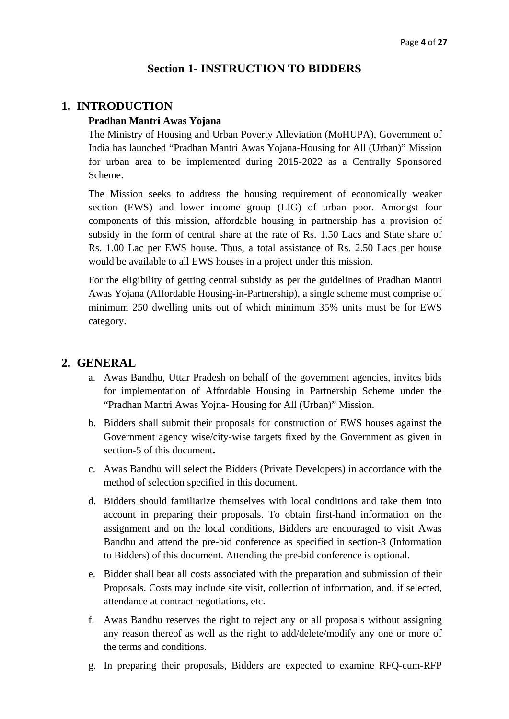### **Section 1- INSTRUCTION TO BIDDERS**

### <span id="page-3-1"></span><span id="page-3-0"></span>**1. INTRODUCTION**

#### **Pradhan Mantri Awas Yojana**

The Ministry of Housing and Urban Poverty Alleviation (MoHUPA), Government of India has launched "Pradhan Mantri Awas Yojana-Housing for All (Urban)" Mission for urban area to be implemented during 2015-2022 as a Centrally Sponsored Scheme.

The Mission seeks to address the housing requirement of economically weaker section (EWS) and lower income group (LIG) of urban poor. Amongst four components of this mission, affordable housing in partnership has a provision of subsidy in the form of central share at the rate of Rs. 1.50 Lacs and State share of Rs. 1.00 Lac per EWS house. Thus, a total assistance of Rs. 2.50 Lacs per house would be available to all EWS houses in a project under this mission.

For the eligibility of getting central subsidy as per the guidelines of Pradhan Mantri Awas Yojana (Affordable Housing-in-Partnership), a single scheme must comprise of minimum 250 dwelling units out of which minimum 35% units must be for EWS category.

### <span id="page-3-2"></span>**2. GENERAL**

- a. Awas Bandhu, Uttar Pradesh on behalf of the government agencies, invites bids for implementation of Affordable Housing in Partnership Scheme under the "Pradhan Mantri Awas Yojna- Housing for All (Urban)" Mission.
- b. Bidders shall submit their proposals for construction of EWS houses against the Government agency wise/city-wise targets fixed by the Government as given in section-5 of this document**.**
- c. Awas Bandhu will select the Bidders (Private Developers) in accordance with the method of selection specified in this document.
- d. Bidders should familiarize themselves with local conditions and take them into account in preparing their proposals. To obtain first-hand information on the assignment and on the local conditions, Bidders are encouraged to visit Awas Bandhu and attend the pre-bid conference as specified in section-3 (Information to Bidders) of this document. Attending the pre-bid conference is optional.
- e. Bidder shall bear all costs associated with the preparation and submission of their Proposals. Costs may include site visit, collection of information, and, if selected, attendance at contract negotiations, etc.
- f. Awas Bandhu reserves the right to reject any or all proposals without assigning any reason thereof as well as the right to add/delete/modify any one or more of the terms and conditions.
- g. In preparing their proposals, Bidders are expected to examine RFQ-cum-RFP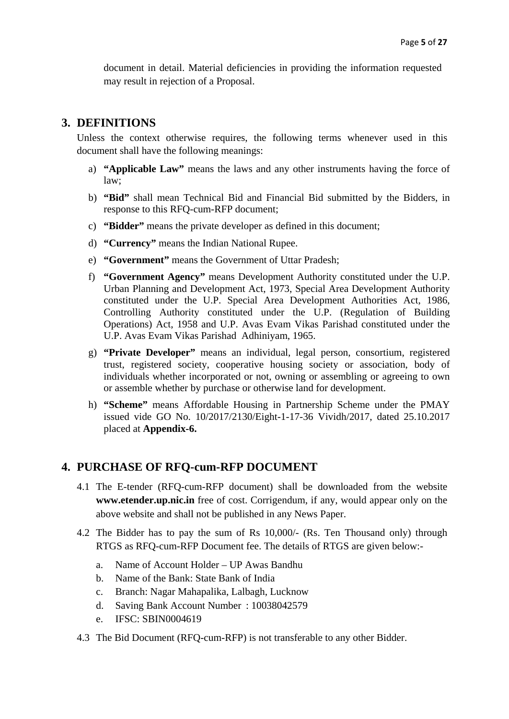document in detail. Material deficiencies in providing the information requested may result in rejection of a Proposal.

### <span id="page-4-0"></span>**3. DEFINITIONS**

Unless the context otherwise requires, the following terms whenever used in this document shall have the following meanings:

- a) **"Applicable Law"** means the laws and any other instruments having the force of law;
- b) **"Bid"** shall mean Technical Bid and Financial Bid submitted by the Bidders, in response to this RFQ-cum-RFP document;
- c) **"Bidder"** means the private developer as defined in this document;
- d) **"Currency"** means the Indian National Rupee.
- e) **"Government"** means the Government of Uttar Pradesh;
- f) **"Government Agency"** means Development Authority constituted under the U.P. Urban Planning and Development Act, 1973, Special Area Development Authority constituted under the U.P. Special Area Development Authorities Act, 1986, Controlling Authority constituted under the U.P. (Regulation of Building Operations) Act, 1958 and U.P. Avas Evam Vikas Parishad constituted under the U.P. Avas Evam Vikas Parishad Adhiniyam, 1965.
- g) **"Private Developer"** means an individual, legal person, consortium, registered trust, registered society, cooperative housing society or association, body of individuals whether incorporated or not, owning or assembling or agreeing to own or assemble whether by purchase or otherwise land for development.
- h) **"Scheme"** means Affordable Housing in Partnership Scheme under the PMAY issued vide GO No. 10/2017/2130/Eight-1-17-36 Vividh/2017, dated 25.10.2017 placed at **Appendix-6.**

### <span id="page-4-1"></span>**4. PURCHASE OF RFQ-cum-RFP DOCUMENT**

- 4.1 The E-tender (RFQ-cum-RFP document) shall be downloaded from the website **www.etender.up.nic.in** free of cost. Corrigendum, if any, would appear only on the above website and shall not be published in any News Paper.
- 4.2 The Bidder has to pay the sum of Rs 10,000/- (Rs. Ten Thousand only) through RTGS as RFQ-cum-RFP Document fee. The details of RTGS are given below:
	- a. Name of Account Holder UP Awas Bandhu
	- b. Name of the Bank: State Bank of India
	- c. Branch: Nagar Mahapalika, Lalbagh, Lucknow
	- d. Saving Bank Account Number : 10038042579
	- e. IFSC: SBIN0004619
- 4.3 The Bid Document (RFQ-cum-RFP) is not transferable to any other Bidder.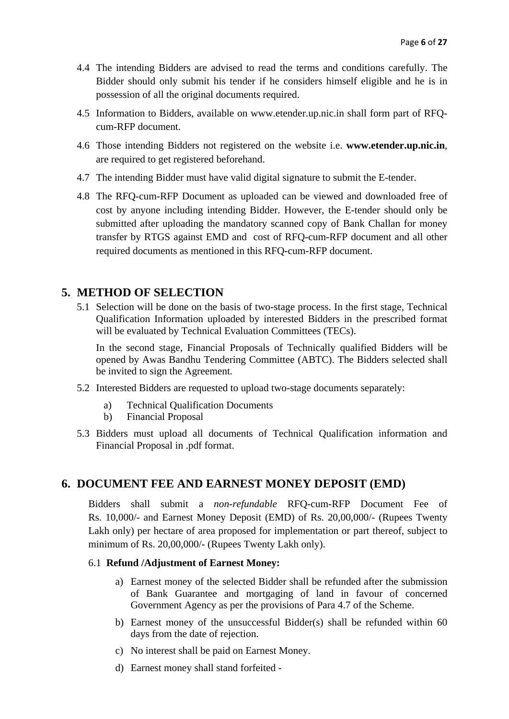- 4.4 The intending Bidders are advised to read the terms and conditions carefully. The Bidder should only submit his tender if he considers himself eligible and he is in possession of all the original documents required.
- 4.5 Information to Bidders, available on www.etender.up.nic.in shall form part of RFQcum-RFP document.
- 4.6 Those intending Bidders not registered on the website i.e. **www.etender.up.nic.in**, are required to get registered beforehand.
- 4.7 The intending Bidder must have valid digital signature to submit the E-tender.
- 4.8 The RFQ-cum-RFP Document as uploaded can be viewed and downloaded free of cost by anyone including intending Bidder. However, the E-tender should only be submitted after uploading the mandatory scanned copy of Bank Challan for money transfer by RTGS against EMD and cost of RFQ-cum-RFP document and all other required documents as mentioned in this RFQ-cum-RFP document.

### <span id="page-5-0"></span>**5. METHOD OF SELECTION**

5.1 Selection will be done on the basis of two-stage process. In the first stage, Technical Qualification Information uploaded by interested Bidders in the prescribed format will be evaluated by Technical Evaluation Committees (TECs).

In the second stage, Financial Proposals of Technically qualified Bidders will be opened by Awas Bandhu Tendering Committee (ABTC). The Bidders selected shall be invited to sign the Agreement*.* 

- 5.2 Interested Bidders are requested to upload two-stage documents separately:
	- a) Technical Qualification Documents
	- b) Financial Proposal
- 5.3 Bidders must upload all documents of Technical Qualification information and Financial Proposal in .pdf format.

### <span id="page-5-1"></span>**6. DOCUMENT FEE AND EARNEST MONEY DEPOSIT (EMD)**

Bidders shall submit a *non-refundable* RFQ-cum-RFP Document Fee of Rs. 10,000/- and Earnest Money Deposit (EMD) of Rs. 20,00,000/- (Rupees Twenty Lakh only) per hectare of area proposed for implementation or part thereof, subject to minimum of Rs. 20,00,000/- (Rupees Twenty Lakh only).

#### 6.1 **Refund /Adjustment of Earnest Money:**

- a) Earnest money of the selected Bidder shall be refunded after the submission of Bank Guarantee and mortgaging of land in favour of concerned Government Agency as per the provisions of Para 4.7 of the Scheme.
- b) Earnest money of the unsuccessful Bidder(s) shall be refunded within 60 days from the date of rejection.
- c) No interest shall be paid on Earnest Money.
- d) Earnest money shall stand forfeited -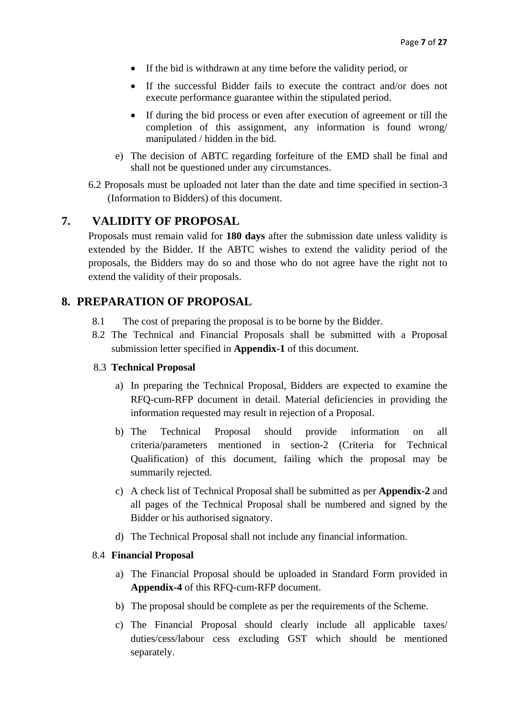- If the bid is withdrawn at any time before the validity period, or
- If the successful Bidder fails to execute the contract and/or does not execute performance guarantee within the stipulated period.
- If during the bid process or even after execution of agreement or till the completion of this assignment, any information is found wrong/ manipulated / hidden in the bid.
- e) The decision of ABTC regarding forfeiture of the EMD shall be final and shall not be questioned under any circumstances.
- 6.2 Proposals must be uploaded not later than the date and time specified in section-3 (Information to Bidders) of this document.

### <span id="page-6-0"></span>**7. VALIDITY OF PROPOSAL**

Proposals must remain valid for **180 days** after the submission date unless validity is extended by the Bidder. If the ABTC wishes to extend the validity period of the proposals, the Bidders may do so and those who do not agree have the right not to extend the validity of their proposals.

### <span id="page-6-1"></span>**8. PREPARATION OF PROPOSAL**

- 8.1 The cost of preparing the proposal is to be borne by the Bidder.
- 8.2 The Technical and Financial Proposals shall be submitted with a Proposal submission letter specified in **Appendix-1** of this document.

#### 8.3 **Technical Proposal**

- a) In preparing the Technical Proposal, Bidders are expected to examine the RFQ-cum-RFP document in detail. Material deficiencies in providing the information requested may result in rejection of a Proposal.
- b) The Technical Proposal should provide information on all criteria/parameters mentioned in section-2 (Criteria for Technical Qualification) of this document, failing which the proposal may be summarily rejected.
- c) A check list of Technical Proposal shall be submitted as per **Appendix-2** and all pages of the Technical Proposal shall be numbered and signed by the Bidder or his authorised signatory.
- d) The Technical Proposal shall not include any financial information.

#### 8.4 **Financial Proposal**

- a) The Financial Proposal should be uploaded in Standard Form provided in **Appendix-4** of this RFQ-cum-RFP document.
- b) The proposal should be complete as per the requirements of the Scheme.
- c) The Financial Proposal should clearly include all applicable taxes/ duties/cess/labour cess excluding GST which should be mentioned separately.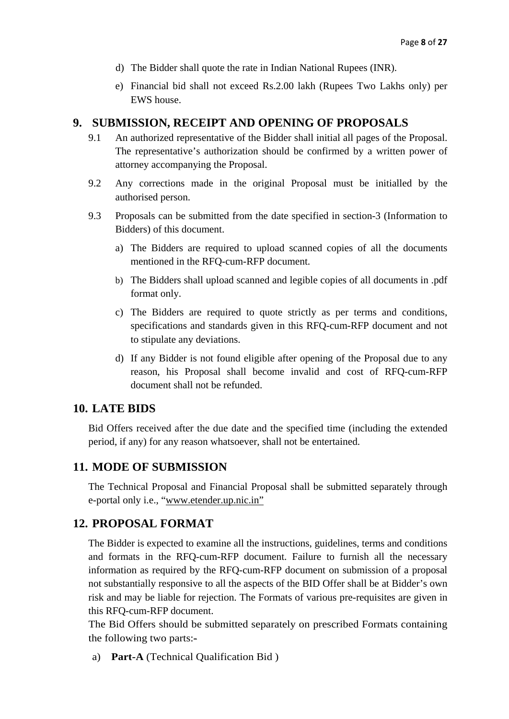- d) The Bidder shall quote the rate in Indian National Rupees (INR).
- e) Financial bid shall not exceed Rs.2.00 lakh (Rupees Two Lakhs only) per EWS house.

#### <span id="page-7-0"></span>**9. SUBMISSION, RECEIPT AND OPENING OF PROPOSALS**

- 9.1 An authorized representative of the Bidder shall initial all pages of the Proposal. The representative's authorization should be confirmed by a written power of attorney accompanying the Proposal.
- 9.2 Any corrections made in the original Proposal must be initialled by the authorised person.
- 9.3 Proposals can be submitted from the date specified in section-3 (Information to Bidders) of this document.
	- a) The Bidders are required to upload scanned copies of all the documents mentioned in the RFQ-cum-RFP document.
	- b) The Bidders shall upload scanned and legible copies of all documents in .pdf format only.
	- c) The Bidders are required to quote strictly as per terms and conditions, specifications and standards given in this RFQ-cum-RFP document and not to stipulate any deviations.
	- d) If any Bidder is not found eligible after opening of the Proposal due to any reason, his Proposal shall become invalid and cost of RFQ-cum-RFP document shall not be refunded.

### <span id="page-7-1"></span>**10. LATE BIDS**

Bid Offers received after the due date and the specified time (including the extended period, if any) for any reason whatsoever, shall not be entertained.

### <span id="page-7-2"></span>**11. MODE OF SUBMISSION**

The Technical Proposal and Financial Proposal shall be submitted separately through e-portal only i.e., "www.etender.up.nic.in"

### <span id="page-7-3"></span>**12. PROPOSAL FORMAT**

The Bidder is expected to examine all the instructions, guidelines, terms and conditions and formats in the RFQ-cum-RFP document. Failure to furnish all the necessary information as required by the RFQ-cum-RFP document on submission of a proposal not substantially responsive to all the aspects of the BID Offer shall be at Bidder's own risk and may be liable for rejection. The Formats of various pre-requisites are given in this RFQ-cum-RFP document.

The Bid Offers should be submitted separately on prescribed Formats containing the following two parts:-

a) **Part-A** (Technical Qualification Bid )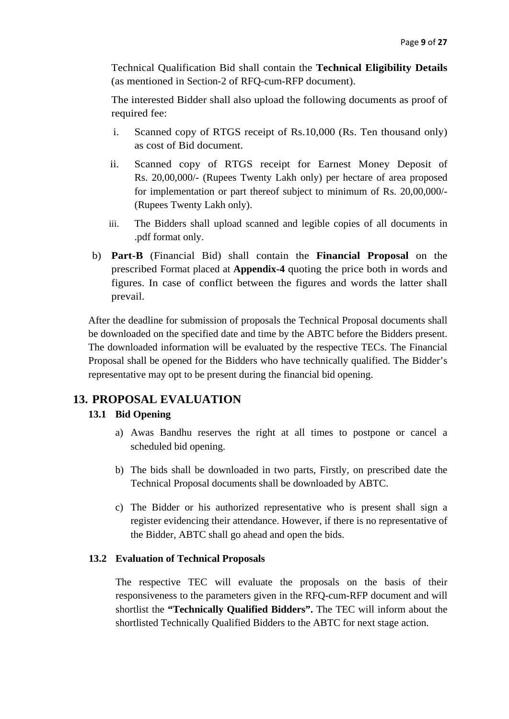Technical Qualification Bid shall contain the **Technical Eligibility Details** (as mentioned in Section-2 of RFQ-cum-RFP document).

The interested Bidder shall also upload the following documents as proof of required fee:

- i. Scanned copy of RTGS receipt of Rs.10,000 (Rs. Ten thousand only) as cost of Bid document.
- ii. Scanned copy of RTGS receipt for Earnest Money Deposit of Rs. 20,00,000/- (Rupees Twenty Lakh only) per hectare of area proposed for implementation or part thereof subject to minimum of Rs. 20,00,000/- (Rupees Twenty Lakh only).
- iii. The Bidders shall upload scanned and legible copies of all documents in .pdf format only.
- b) **Part-B** (Financial Bid) shall contain the **Financial Proposal** on the prescribed Format placed at **Appendix-4** quoting the price both in words and figures. In case of conflict between the figures and words the latter shall prevail.

After the deadline for submission of proposals the Technical Proposal documents shall be downloaded on the specified date and time by the ABTC before the Bidders present. The downloaded information will be evaluated by the respective TECs. The Financial Proposal shall be opened for the Bidders who have technically qualified. The Bidder's representative may opt to be present during the financial bid opening.

### <span id="page-8-0"></span>**13. PROPOSAL EVALUATION**

### **13.1 Bid Opening**

- a) Awas Bandhu reserves the right at all times to postpone or cancel a scheduled bid opening.
- b) The bids shall be downloaded in two parts, Firstly, on prescribed date the Technical Proposal documents shall be downloaded by ABTC.
- c) The Bidder or his authorized representative who is present shall sign a register evidencing their attendance. However, if there is no representative of the Bidder, ABTC shall go ahead and open the bids.

#### **13.2 Evaluation of Technical Proposals**

The respective TEC will evaluate the proposals on the basis of their responsiveness to the parameters given in the RFQ-cum-RFP document and will shortlist the **"Technically Qualified Bidders".** The TEC will inform about the shortlisted Technically Qualified Bidders to the ABTC for next stage action.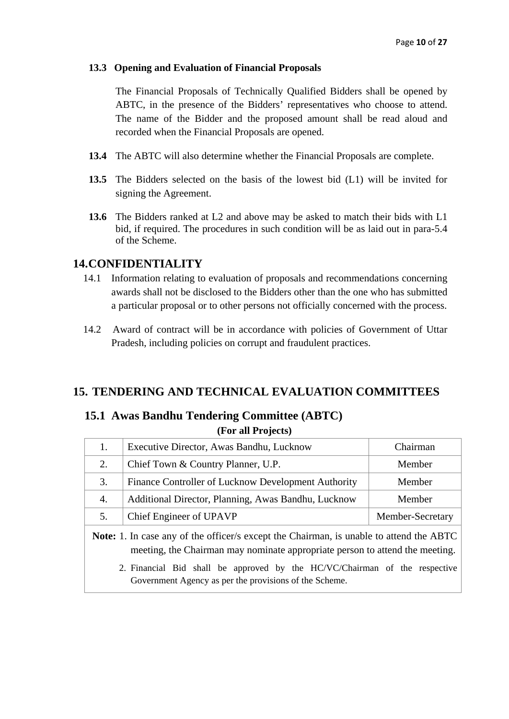#### **13.3 Opening and Evaluation of Financial Proposals**

The Financial Proposals of Technically Qualified Bidders shall be opened by ABTC, in the presence of the Bidders' representatives who choose to attend. The name of the Bidder and the proposed amount shall be read aloud and recorded when the Financial Proposals are opened.

- **13.4** The ABTC will also determine whether the Financial Proposals are complete.
- **13.5** The Bidders selected on the basis of the lowest bid (L1) will be invited for signing the Agreement.
- **13.6** The Bidders ranked at L2 and above may be asked to match their bids with L1 bid, if required. The procedures in such condition will be as laid out in para-5.4 of the Scheme.

### <span id="page-9-0"></span>**14.CONFIDENTIALITY**

- 14.1 Information relating to evaluation of proposals and recommendations concerning awards shall not be disclosed to the Bidders other than the one who has submitted a particular proposal or to other persons not officially concerned with the process.
- 14.2 Award of contract will be in accordance with policies of Government of Uttar Pradesh, including policies on corrupt and fraudulent practices.

### <span id="page-9-2"></span><span id="page-9-1"></span>**15. TENDERING AND TECHNICAL EVALUATION COMMITTEES**

### **15.1 Awas Bandhu Tendering Committee (ABTC) (For all Projects)**

| 1.                                                                                                                                                                             | Executive Director, Awas Bandhu, Lucknow            | Chairman         |  |
|--------------------------------------------------------------------------------------------------------------------------------------------------------------------------------|-----------------------------------------------------|------------------|--|
| 2.                                                                                                                                                                             | Chief Town & Country Planner, U.P.                  | Member           |  |
| 3.                                                                                                                                                                             | Finance Controller of Lucknow Development Authority | Member           |  |
| 4.                                                                                                                                                                             | Additional Director, Planning, Awas Bandhu, Lucknow | Member           |  |
| 5.                                                                                                                                                                             | Chief Engineer of UPAVP                             | Member-Secretary |  |
| <b>Note:</b> 1. In case any of the officer/s except the Chairman, is unable to attend the ABTC<br>meeting, the Chairman may nominate appropriate person to attend the meeting. |                                                     |                  |  |
| 2. Financial Bid shall be approved by the HC/VC/Chairman of the respective<br>Government Agency as per the provisions of the Scheme.                                           |                                                     |                  |  |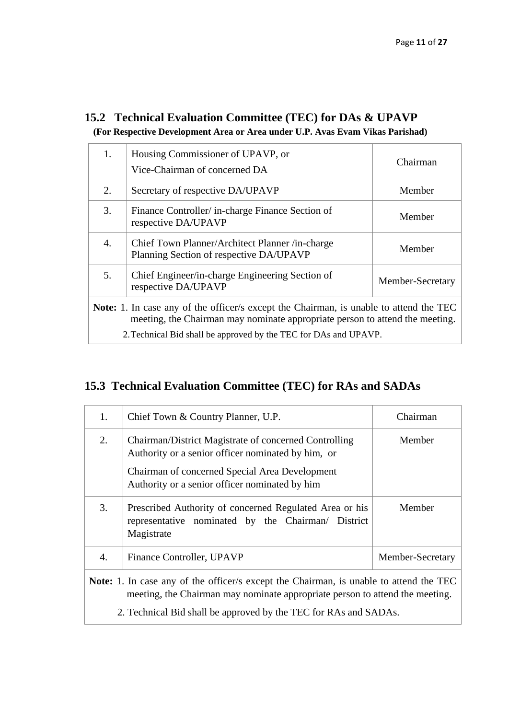### <span id="page-10-0"></span>**15.2 Technical Evaluation Committee (TEC) for DAs & UPAVP (For Respective Development Area or Area under U.P. Avas Evam Vikas Parishad)**

|                                                                                                                                                                               | Housing Commissioner of UPAVP, or<br>Vice-Chairman of concerned DA                         | Chairman         |  |
|-------------------------------------------------------------------------------------------------------------------------------------------------------------------------------|--------------------------------------------------------------------------------------------|------------------|--|
| 2.                                                                                                                                                                            | Secretary of respective DA/UPAVP                                                           | Member           |  |
| 3.                                                                                                                                                                            | Finance Controller/ in-charge Finance Section of<br>respective DA/UPAVP                    | Member           |  |
| 4.                                                                                                                                                                            | Chief Town Planner/Architect Planner /in-charge<br>Planning Section of respective DA/UPAVP | Member           |  |
| 5.                                                                                                                                                                            | Chief Engineer/in-charge Engineering Section of<br>respective DA/UPAVP                     | Member-Secretary |  |
| <b>Note:</b> 1. In case any of the officer/s except the Chairman, is unable to attend the TEC<br>meeting, the Chairman may nominate appropriate person to attend the meeting. |                                                                                            |                  |  |
| 2. Technical Bid shall be approved by the TEC for DAs and UPAVP.                                                                                                              |                                                                                            |                  |  |

### <span id="page-10-1"></span>**15.3 Technical Evaluation Committee (TEC) for RAs and SADAs**

| 1.                                                                                                                                                                                                                                                | Chief Town & Country Planner, U.P.                                                                                                                                                                              | Chairman         |  |  |
|---------------------------------------------------------------------------------------------------------------------------------------------------------------------------------------------------------------------------------------------------|-----------------------------------------------------------------------------------------------------------------------------------------------------------------------------------------------------------------|------------------|--|--|
| 2.                                                                                                                                                                                                                                                | Chairman/District Magistrate of concerned Controlling<br>Authority or a senior officer nominated by him, or<br>Chairman of concerned Special Area Development<br>Authority or a senior officer nominated by him | Member           |  |  |
| 3.                                                                                                                                                                                                                                                | Prescribed Authority of concerned Regulated Area or his<br>representative nominated by the Chairman/ District<br>Magistrate                                                                                     | Member           |  |  |
| 4.                                                                                                                                                                                                                                                | Finance Controller, UPAVP                                                                                                                                                                                       | Member-Secretary |  |  |
| <b>Note:</b> 1. In case any of the officer/s except the Chairman, is unable to attend the TEC<br>meeting, the Chairman may nominate appropriate person to attend the meeting.<br>2. Technical Bid shall be approved by the TEC for RAs and SADAs. |                                                                                                                                                                                                                 |                  |  |  |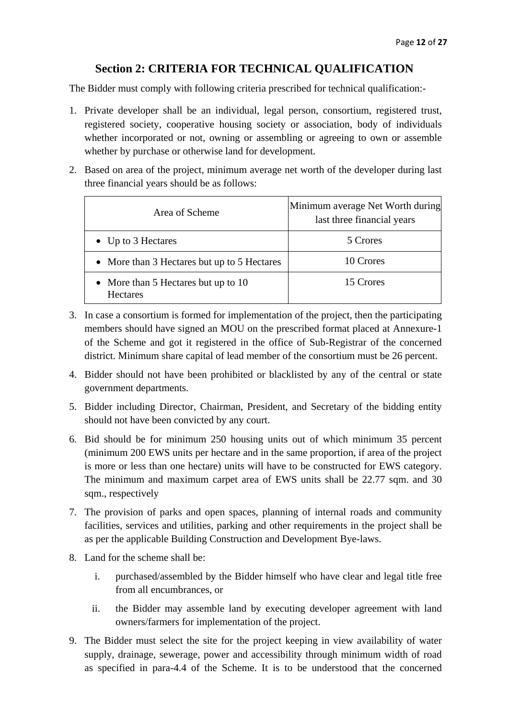### **Section 2: CRITERIA FOR TECHNICAL QUALIFICATION**

<span id="page-11-0"></span>The Bidder must comply with following criteria prescribed for technical qualification:-

- 1. Private developer shall be an individual, legal person, consortium, registered trust, registered society, cooperative housing society or association, body of individuals whether incorporated or not, owning or assembling or agreeing to own or assemble whether by purchase or otherwise land for development.
- 2. Based on area of the project, minimum average net worth of the developer during last three financial years should be as follows:

| Area of Scheme                                         | Minimum average Net Worth during<br>last three financial years |
|--------------------------------------------------------|----------------------------------------------------------------|
| • Up to $3$ Hectares                                   | 5 Crores                                                       |
| • More than 3 Hectares but up to 5 Hectares            | 10 Crores                                                      |
| • More than 5 Hectares but up to 10<br><b>Hectares</b> | 15 Crores                                                      |

- 3. In case a consortium is formed for implementation of the project, then the participating members should have signed an MOU on the prescribed format placed at Annexure-1 of the Scheme and got it registered in the office of Sub-Registrar of the concerned district. Minimum share capital of lead member of the consortium must be 26 percent.
- 4. Bidder should not have been prohibited or blacklisted by any of the central or state government departments.
- 5. Bidder including Director, Chairman, President, and Secretary of the bidding entity should not have been convicted by any court.
- 6. Bid should be for minimum 250 housing units out of which minimum 35 percent (minimum 200 EWS units per hectare and in the same proportion, if area of the project is more or less than one hectare) units will have to be constructed for EWS category. The minimum and maximum carpet area of EWS units shall be 22.77 sqm. and 30 sqm., respectively
- 7. The provision of parks and open spaces, planning of internal roads and community facilities, services and utilities, parking and other requirements in the project shall be as per the applicable Building Construction and Development Bye-laws.
- 8. Land for the scheme shall be:
	- i. purchased/assembled by the Bidder himself who have clear and legal title free from all encumbrances, or
	- ii. the Bidder may assemble land by executing developer agreement with land owners/farmers for implementation of the project.
- 9. The Bidder must select the site for the project keeping in view availability of water supply, drainage, sewerage, power and accessibility through minimum width of road as specified in para-4.4 of the Scheme. It is to be understood that the concerned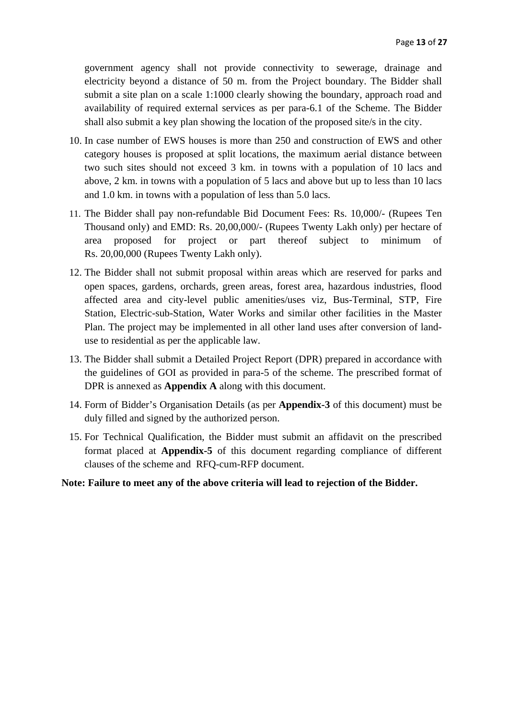government agency shall not provide connectivity to sewerage, drainage and electricity beyond a distance of 50 m. from the Project boundary. The Bidder shall submit a site plan on a scale 1:1000 clearly showing the boundary, approach road and availability of required external services as per para-6.1 of the Scheme. The Bidder shall also submit a key plan showing the location of the proposed site/s in the city.

- 10. In case number of EWS houses is more than 250 and construction of EWS and other category houses is proposed at split locations, the maximum aerial distance between two such sites should not exceed 3 km. in towns with a population of 10 lacs and above, 2 km. in towns with a population of 5 lacs and above but up to less than 10 lacs and 1.0 km. in towns with a population of less than 5.0 lacs.
- 11. The Bidder shall pay non-refundable Bid Document Fees: Rs. 10,000/- (Rupees Ten Thousand only) and EMD: Rs. 20,00,000/- (Rupees Twenty Lakh only) per hectare of area proposed for project or part thereof subject to minimum of Rs. 20,00,000 (Rupees Twenty Lakh only).
- 12. The Bidder shall not submit proposal within areas which are reserved for parks and open spaces, gardens, orchards, green areas, forest area, hazardous industries, flood affected area and city-level public amenities/uses viz, Bus-Terminal, STP, Fire Station, Electric-sub-Station, Water Works and similar other facilities in the Master Plan. The project may be implemented in all other land uses after conversion of landuse to residential as per the applicable law.
- 13. The Bidder shall submit a Detailed Project Report (DPR) prepared in accordance with the guidelines of GOI as provided in para-5 of the scheme. The prescribed format of DPR is annexed as **Appendix A** along with this document.
- 14. Form of Bidder's Organisation Details (as per **Appendix-3** of this document) must be duly filled and signed by the authorized person.
- 15. For Technical Qualification, the Bidder must submit an affidavit on the prescribed format placed at **Appendix-5** of this document regarding compliance of different clauses of the scheme and RFQ-cum-RFP document.

#### **Note: Failure to meet any of the above criteria will lead to rejection of the Bidder.**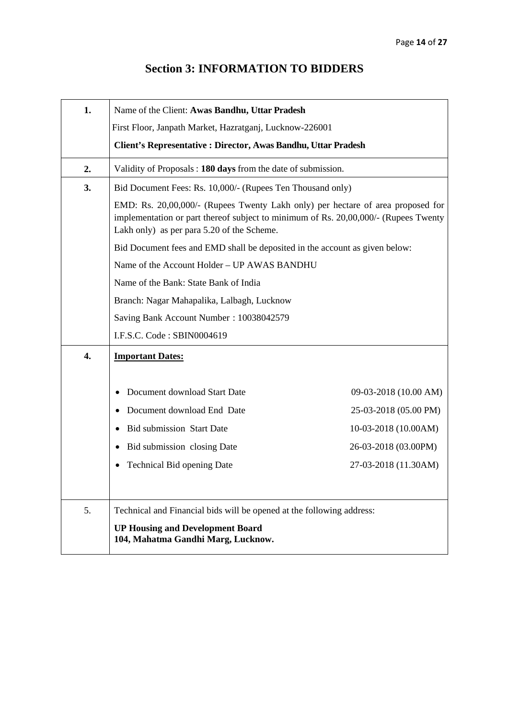## **Section 3: INFORMATION TO BIDDERS**

<span id="page-13-0"></span>

| 1. | Name of the Client: Awas Bandhu, Uttar Pradesh                                                                                                                                                                       |                       |  |  |
|----|----------------------------------------------------------------------------------------------------------------------------------------------------------------------------------------------------------------------|-----------------------|--|--|
|    | First Floor, Janpath Market, Hazratganj, Lucknow-226001                                                                                                                                                              |                       |  |  |
|    | Client's Representative : Director, Awas Bandhu, Uttar Pradesh                                                                                                                                                       |                       |  |  |
| 2. | Validity of Proposals: 180 days from the date of submission.                                                                                                                                                         |                       |  |  |
| 3. | Bid Document Fees: Rs. 10,000/- (Rupees Ten Thousand only)                                                                                                                                                           |                       |  |  |
|    | EMD: Rs. 20,00,000/- (Rupees Twenty Lakh only) per hectare of area proposed for<br>implementation or part thereof subject to minimum of Rs. 20,00,000/- (Rupees Twenty<br>Lakh only) as per para 5.20 of the Scheme. |                       |  |  |
|    | Bid Document fees and EMD shall be deposited in the account as given below:                                                                                                                                          |                       |  |  |
|    | Name of the Account Holder - UP AWAS BANDHU                                                                                                                                                                          |                       |  |  |
|    | Name of the Bank: State Bank of India                                                                                                                                                                                |                       |  |  |
|    | Branch: Nagar Mahapalika, Lalbagh, Lucknow                                                                                                                                                                           |                       |  |  |
|    | Saving Bank Account Number: 10038042579                                                                                                                                                                              |                       |  |  |
|    | I.F.S.C. Code: SBIN0004619                                                                                                                                                                                           |                       |  |  |
| 4. | <b>Important Dates:</b>                                                                                                                                                                                              |                       |  |  |
|    |                                                                                                                                                                                                                      |                       |  |  |
|    | Document download Start Date                                                                                                                                                                                         | 09-03-2018 (10.00 AM) |  |  |
|    | Document download End Date                                                                                                                                                                                           | 25-03-2018 (05.00 PM) |  |  |
|    | <b>Bid submission Start Date</b>                                                                                                                                                                                     | 10-03-2018 (10.00AM)  |  |  |
|    | Bid submission closing Date                                                                                                                                                                                          | 26-03-2018 (03.00PM)  |  |  |
|    | Technical Bid opening Date                                                                                                                                                                                           | 27-03-2018 (11.30AM)  |  |  |
|    |                                                                                                                                                                                                                      |                       |  |  |
| 5. | Technical and Financial bids will be opened at the following address:                                                                                                                                                |                       |  |  |
|    | <b>UP Housing and Development Board</b><br>104, Mahatma Gandhi Marg, Lucknow.                                                                                                                                        |                       |  |  |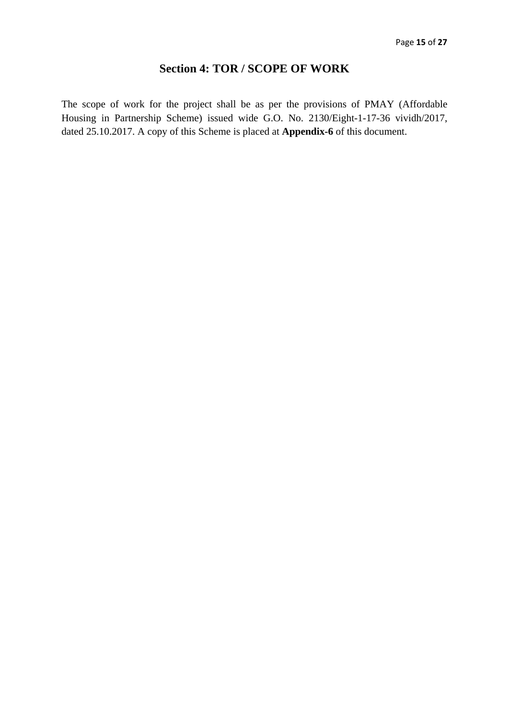### **Section 4: TOR / SCOPE OF WORK**

<span id="page-14-0"></span>The scope of work for the project shall be as per the provisions of PMAY (Affordable Housing in Partnership Scheme) issued wide G.O. No. 2130/Eight-1-17-36 vividh/2017, dated 25.10.2017. A copy of this Scheme is placed at **Appendix-6** of this document.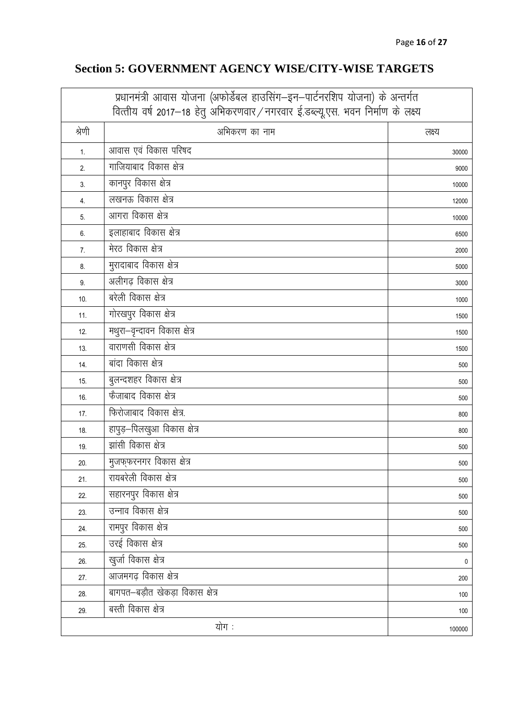## **Section 5: GOVERNMENT AGENCY WISE/CITY-WISE TARGETS**

<span id="page-15-0"></span>

| प्रधानमंत्री आवास योजना (अफोर्डेबल हाउसिंग–इन–पार्टनरशिप योजना) के अन्तर्गत<br>वित्तीय वर्ष 2017–18 हेतु अभिकरणवार/नगरवार ई.डब्ल्यू.एस. भवन निर्माण के लक्ष्य |                                  |           |
|---------------------------------------------------------------------------------------------------------------------------------------------------------------|----------------------------------|-----------|
| श्रेणी                                                                                                                                                        | अभिकरण का नाम                    | लक्ष्य    |
| 1.                                                                                                                                                            | आवास एवं विकास परिषद             | 30000     |
| 2.                                                                                                                                                            | गाजियाबाद विकास क्षेत्र          | 9000      |
| 3.                                                                                                                                                            | कानपुर विकास क्षेत्र             | 10000     |
| 4.                                                                                                                                                            | लखनऊ विकास क्षेत्र               | 12000     |
| 5.                                                                                                                                                            | आगरा विकास क्षेत्र               | 10000     |
| 6.                                                                                                                                                            | इलाहाबाद विकास क्षेत्र           | 6500      |
| 7.                                                                                                                                                            | मेरठ विकास क्षेत्र               | 2000      |
| 8.                                                                                                                                                            | मुरादाबाद विकास क्षेत्र          | 5000      |
| 9.                                                                                                                                                            | अलीगढ़ विकास क्षेत्र             | 3000      |
| 10.                                                                                                                                                           | बरेली विकास क्षेत्र              | 1000      |
| 11.                                                                                                                                                           | गोरखपुर विकास क्षेत्र            | 1500      |
| 12.                                                                                                                                                           | मथुरा-वृन्दावन विकास क्षेत्र     | 1500      |
| 13.                                                                                                                                                           | वाराणसी विकास क्षेत्र            | 1500      |
| 14.                                                                                                                                                           | बांदा विकास क्षेत्र              | 500       |
| 15.                                                                                                                                                           | बुलन्दशहर विकास क्षेत्र          | 500       |
| 16.                                                                                                                                                           | फैजाबाद विकास क्षेत्र            | 500       |
| 17.                                                                                                                                                           | फिरोजाबाद विकास क्षेत्र.         | 800       |
| 18.                                                                                                                                                           | हापुड़–पिलखुआ विकास क्षेत्र      | 800       |
| 19.                                                                                                                                                           | झांसी विकास क्षेत्र              | 500       |
| 20.                                                                                                                                                           | मुजफ्फरनगर विकास क्षेत्र         | 500       |
| 21.                                                                                                                                                           | रायबरेली विकास क्षेत्र           | 500       |
| 22.                                                                                                                                                           | सहारनपुर विकास क्षेत्र           | 500       |
| 23.                                                                                                                                                           | उन्नाव विकास क्षेत्र             | 500       |
| 24.                                                                                                                                                           | रामपुर विकास क्षेत्र             | 500       |
| 25.                                                                                                                                                           | उरई विकास क्षेत्र                | 500       |
| 26.                                                                                                                                                           | खुर्जा विकास क्षेत्र             | $\pmb{0}$ |
| 27.                                                                                                                                                           | आजमगढ़ विकास क्षेत्र             | 200       |
| 28.                                                                                                                                                           | बागपत-बड़ौत खेकड़ा विकास क्षेत्र | 100       |
| 29.                                                                                                                                                           | बस्ती विकास क्षेत्र              | 100       |
|                                                                                                                                                               | योग :                            | 100000    |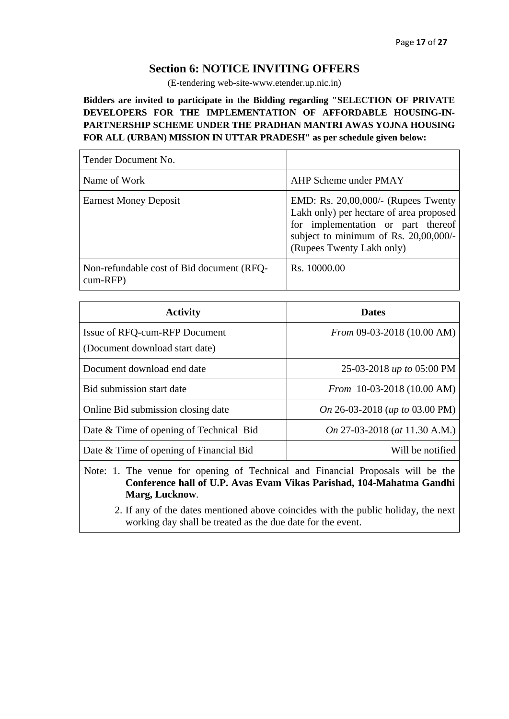### **Section 6: NOTICE INVITING OFFERS**

(E-tendering web-site-www.etender.up.nic.in)

<span id="page-16-0"></span>**Bidders are invited to participate in the Bidding regarding "SELECTION OF PRIVATE DEVELOPERS FOR THE IMPLEMENTATION OF AFFORDABLE HOUSING-IN-PARTNERSHIP SCHEME UNDER THE PRADHAN MANTRI AWAS YOJNA HOUSING FOR ALL (URBAN) MISSION IN UTTAR PRADESH" as per schedule given below:**

| Tender Document No.                                     |                                                                                                                                                                                            |
|---------------------------------------------------------|--------------------------------------------------------------------------------------------------------------------------------------------------------------------------------------------|
| Name of Work                                            | AHP Scheme under PMAY                                                                                                                                                                      |
| <b>Earnest Money Deposit</b>                            | EMD: Rs. 20,00,000/- (Rupees Twenty<br>Lakh only) per hectare of area proposed<br>for implementation or part thereof<br>subject to minimum of Rs. 20,00,000/-<br>(Rupees Twenty Lakh only) |
| Non-refundable cost of Bid document (RFQ-<br>$cum-RFP)$ | Rs. 10000.00                                                                                                                                                                               |

| <b>Activity</b>                         | <b>Dates</b>                   |
|-----------------------------------------|--------------------------------|
| Issue of RFQ-cum-RFP Document           | From 09-03-2018 (10.00 AM)     |
| (Document download start date)          |                                |
| Document download end date              | 25-03-2018 up to 05:00 PM      |
| Bid submission start date               | From 10-03-2018 (10.00 AM)     |
| Online Bid submission closing date      | On 26-03-2018 (up to 03.00 PM) |
| Date & Time of opening of Technical Bid | On 27-03-2018 (at 11.30 A.M.)  |
| Date & Time of opening of Financial Bid | Will be notified               |
|                                         |                                |

Note: 1. The venue for opening of Technical and Financial Proposals will be the **Conference hall of U.P. Avas Evam Vikas Parishad, 104-Mahatma Gandhi Marg, Lucknow**.

2. If any of the dates mentioned above coincides with the public holiday, the next working day shall be treated as the due date for the event.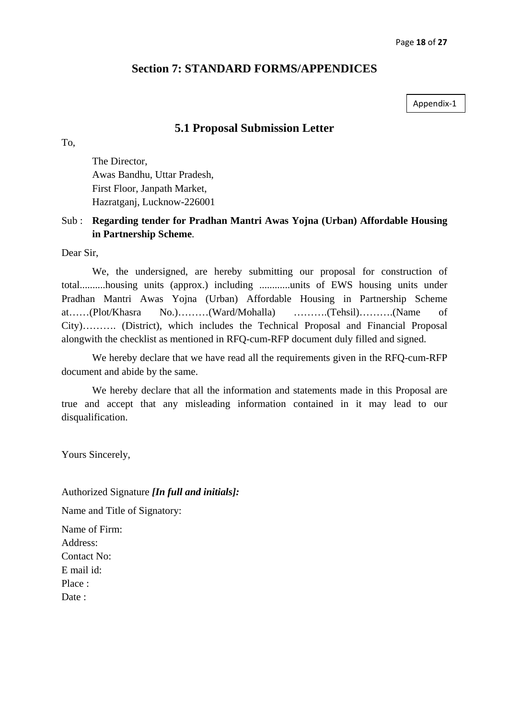### **Section 7: STANDARD FORMS/APPENDICES**

Appendix-1

### **5.1 Proposal Submission Letter**

<span id="page-17-1"></span><span id="page-17-0"></span>To,

The Director, Awas Bandhu, Uttar Pradesh, First Floor, Janpath Market, Hazratganj, Lucknow-226001

### Sub : **Regarding tender for Pradhan Mantri Awas Yojna (Urban) Affordable Housing in Partnership Scheme**.

Dear Sir,

We, the undersigned, are hereby submitting our proposal for construction of total..........housing units (approx.) including ............units of EWS housing units under Pradhan Mantri Awas Yojna (Urban) Affordable Housing in Partnership Scheme at……(Plot/Khasra No.)………(Ward/Mohalla) ……….(Tehsil)……….(Name of City)………. (District), which includes the Technical Proposal and Financial Proposal alongwith the checklist as mentioned in RFQ-cum-RFP document duly filled and signed.

We hereby declare that we have read all the requirements given in the RFQ-cum-RFP document and abide by the same.

We hereby declare that all the information and statements made in this Proposal are true and accept that any misleading information contained in it may lead to our disqualification.

Yours Sincerely,

Authorized Signature *[In full and initials]:*

Name and Title of Signatory:

Name of Firm: Address: Contact No: E mail id: Place : Date :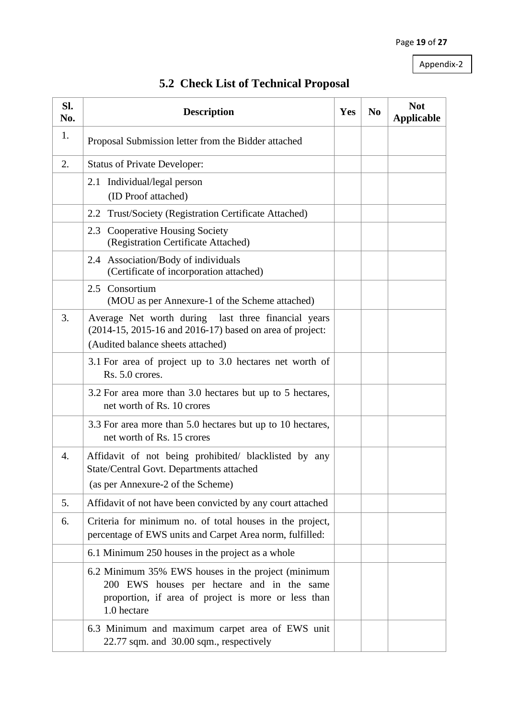<span id="page-18-0"></span>

| SI.<br>No. | <b>Description</b>                                                                                                                                                     | Yes | N <sub>0</sub> | <b>Not</b><br><b>Applicable</b> |
|------------|------------------------------------------------------------------------------------------------------------------------------------------------------------------------|-----|----------------|---------------------------------|
| 1.         | Proposal Submission letter from the Bidder attached                                                                                                                    |     |                |                                 |
| 2.         | <b>Status of Private Developer:</b>                                                                                                                                    |     |                |                                 |
|            | Individual/legal person<br>2.1<br>(ID Proof attached)                                                                                                                  |     |                |                                 |
|            | Trust/Society (Registration Certificate Attached)<br>2.2                                                                                                               |     |                |                                 |
|            | 2.3 Cooperative Housing Society<br>(Registration Certificate Attached)                                                                                                 |     |                |                                 |
|            | 2.4 Association/Body of individuals<br>(Certificate of incorporation attached)                                                                                         |     |                |                                 |
|            | 2.5 Consortium<br>(MOU as per Annexure-1 of the Scheme attached)                                                                                                       |     |                |                                 |
| 3.         | Average Net worth during last three financial years<br>(2014-15, 2015-16 and 2016-17) based on area of project:<br>(Audited balance sheets attached)                   |     |                |                                 |
|            | 3.1 For area of project up to 3.0 hectares net worth of<br>Rs. 5.0 crores.                                                                                             |     |                |                                 |
|            | 3.2 For area more than 3.0 hectares but up to 5 hectares,<br>net worth of Rs. 10 crores                                                                                |     |                |                                 |
|            | 3.3 For area more than 5.0 hectares but up to 10 hectares,<br>net worth of Rs. 15 crores                                                                               |     |                |                                 |
| 4.         | Affidavit of not being prohibited/ blacklisted by any<br>State/Central Govt. Departments attached<br>(as per Annexure-2 of the Scheme)                                 |     |                |                                 |
| 5.         | Affidavit of not have been convicted by any court attached                                                                                                             |     |                |                                 |
| 6.         | Criteria for minimum no. of total houses in the project,<br>percentage of EWS units and Carpet Area norm, fulfilled:                                                   |     |                |                                 |
|            | 6.1 Minimum 250 houses in the project as a whole                                                                                                                       |     |                |                                 |
|            | 6.2 Minimum 35% EWS houses in the project (minimum<br>200 EWS houses per hectare and in the same<br>proportion, if area of project is more or less than<br>1.0 hectare |     |                |                                 |
|            | 6.3 Minimum and maximum carpet area of EWS unit<br>22.77 sqm. and 30.00 sqm., respectively                                                                             |     |                |                                 |

## **5.2 Check List of Technical Proposal**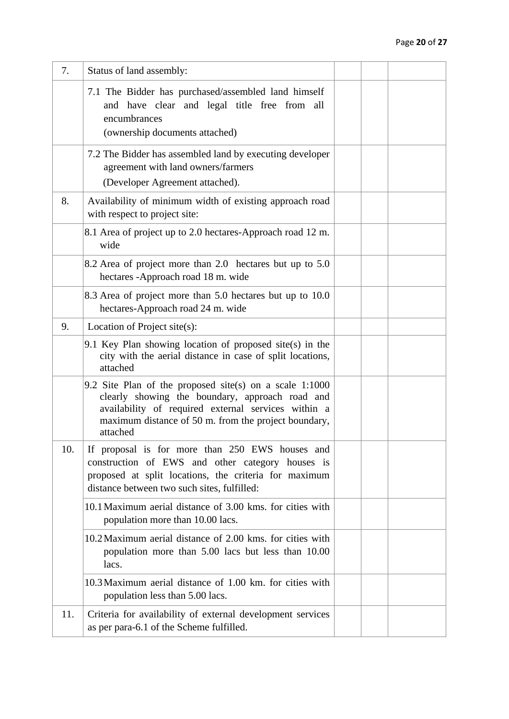| 7.  | Status of land assembly:                                                                                                                                                                                                                |  |  |
|-----|-----------------------------------------------------------------------------------------------------------------------------------------------------------------------------------------------------------------------------------------|--|--|
|     | 7.1 The Bidder has purchased/assembled land himself<br>and have clear and legal title free from all<br>encumbrances<br>(ownership documents attached)                                                                                   |  |  |
|     | 7.2 The Bidder has assembled land by executing developer<br>agreement with land owners/farmers<br>(Developer Agreement attached).                                                                                                       |  |  |
| 8.  | Availability of minimum width of existing approach road<br>with respect to project site:                                                                                                                                                |  |  |
|     | 8.1 Area of project up to 2.0 hectares-Approach road 12 m.<br>wide                                                                                                                                                                      |  |  |
|     | 8.2 Area of project more than 2.0 hectares but up to 5.0<br>hectares -Approach road 18 m. wide                                                                                                                                          |  |  |
|     | 8.3 Area of project more than 5.0 hectares but up to 10.0<br>hectares-Approach road 24 m. wide                                                                                                                                          |  |  |
| 9.  | Location of Project site(s):                                                                                                                                                                                                            |  |  |
|     | 9.1 Key Plan showing location of proposed site(s) in the<br>city with the aerial distance in case of split locations,<br>attached                                                                                                       |  |  |
|     | 9.2 Site Plan of the proposed site(s) on a scale $1:1000$<br>clearly showing the boundary, approach road and<br>availability of required external services within a<br>maximum distance of 50 m. from the project boundary,<br>attached |  |  |
| 10. | If proposal is for more than 250 EWS houses and<br>construction of EWS and other category houses is<br>proposed at split locations, the criteria for maximum<br>distance between two such sites, fulfilled:                             |  |  |
|     | 10.1 Maximum aerial distance of 3.00 kms. for cities with<br>population more than 10.00 lacs.                                                                                                                                           |  |  |
|     | 10.2 Maximum aerial distance of 2.00 kms. for cities with<br>population more than 5.00 lacs but less than 10.00<br>lacs.                                                                                                                |  |  |
|     | 10.3 Maximum aerial distance of 1.00 km, for cities with<br>population less than 5.00 lacs.                                                                                                                                             |  |  |
| 11. | Criteria for availability of external development services<br>as per para-6.1 of the Scheme fulfilled.                                                                                                                                  |  |  |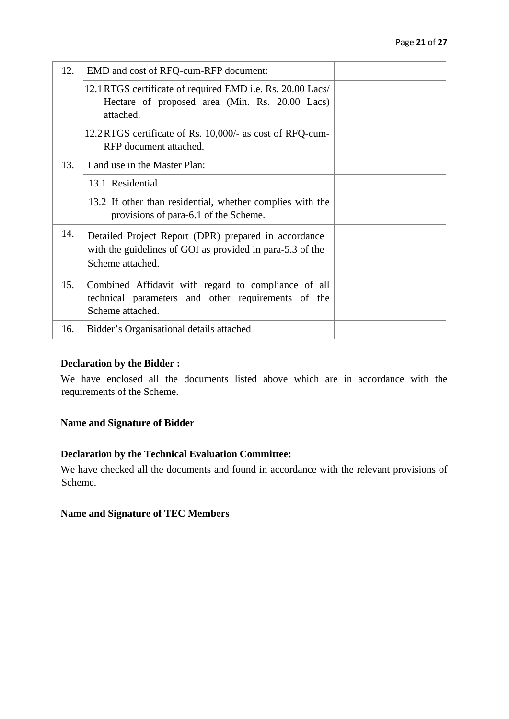| 12. | EMD and cost of RFQ-cum-RFP document:                                                                                                 |  |  |
|-----|---------------------------------------------------------------------------------------------------------------------------------------|--|--|
|     | 12.1 RTGS certificate of required EMD i.e. Rs. 20.00 Lacs/<br>Hectare of proposed area (Min. Rs. 20.00 Lacs)<br>attached.             |  |  |
|     | 12.2 RTGS certificate of Rs. 10,000/- as cost of RFQ-cum-<br>RFP document attached.                                                   |  |  |
| 13. | Land use in the Master Plan:                                                                                                          |  |  |
|     | 13.1 Residential                                                                                                                      |  |  |
|     | 13.2 If other than residential, whether complies with the<br>provisions of para-6.1 of the Scheme.                                    |  |  |
| 14. | Detailed Project Report (DPR) prepared in accordance<br>with the guidelines of GOI as provided in para-5.3 of the<br>Scheme attached. |  |  |
| 15. | Combined Affidavit with regard to compliance of all<br>technical parameters and other requirements of the<br>Scheme attached.         |  |  |
| 16. | Bidder's Organisational details attached                                                                                              |  |  |

### **Declaration by the Bidder :**

We have enclosed all the documents listed above which are in accordance with the requirements of the Scheme.

#### **Name and Signature of Bidder**

#### **Declaration by the Technical Evaluation Committee:**

We have checked all the documents and found in accordance with the relevant provisions of Scheme.

#### **Name and Signature of TEC Members**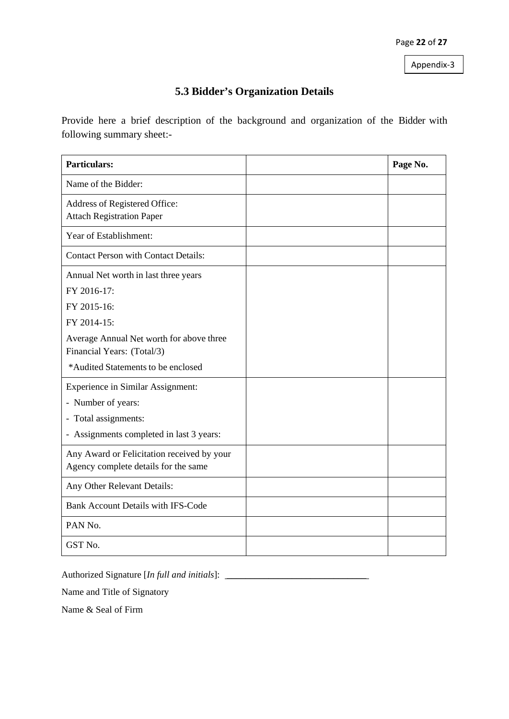### **5.3 Bidder's Organization Details**

<span id="page-21-0"></span>Provide here a brief description of the background and organization of the Bidder with following summary sheet:-

| <b>Particulars:</b>                                                                                                                                                                               | Page No. |
|---------------------------------------------------------------------------------------------------------------------------------------------------------------------------------------------------|----------|
| Name of the Bidder:                                                                                                                                                                               |          |
| Address of Registered Office:<br><b>Attach Registration Paper</b>                                                                                                                                 |          |
| Year of Establishment:                                                                                                                                                                            |          |
| <b>Contact Person with Contact Details:</b>                                                                                                                                                       |          |
| Annual Net worth in last three years<br>FY 2016-17:<br>FY 2015-16:<br>FY 2014-15:<br>Average Annual Net worth for above three<br>Financial Years: (Total/3)<br>*Audited Statements to be enclosed |          |
| <b>Experience in Similar Assignment:</b><br>- Number of years:<br>- Total assignments:<br>- Assignments completed in last 3 years:                                                                |          |
| Any Award or Felicitation received by your<br>Agency complete details for the same                                                                                                                |          |
| Any Other Relevant Details:                                                                                                                                                                       |          |
| <b>Bank Account Details with IFS-Code</b>                                                                                                                                                         |          |
| PAN No.                                                                                                                                                                                           |          |
| GST No.                                                                                                                                                                                           |          |

Authorized Signature [*In full and initials*]: \_\_\_\_\_\_\_\_\_\_\_\_\_\_\_\_\_\_\_\_\_\_\_\_\_\_\_\_\_\_

Name and Title of Signatory

Name & Seal of Firm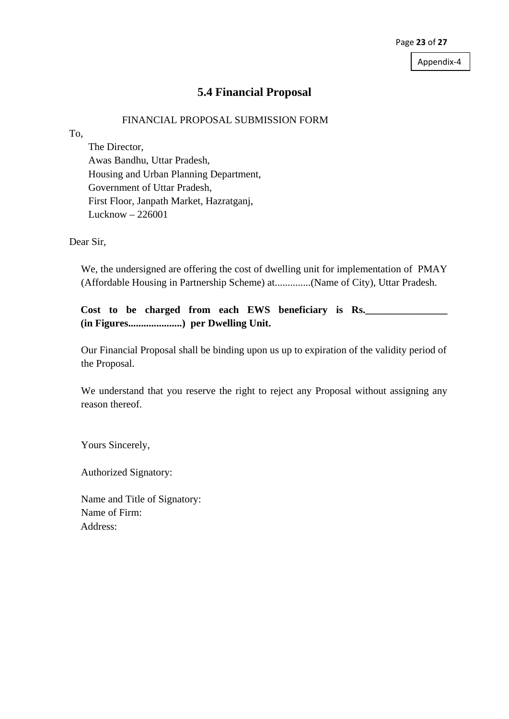### **5.4 Financial Proposal**

#### FINANCIAL PROPOSAL SUBMISSION FORM

<span id="page-22-0"></span>To,

The Director, Awas Bandhu, Uttar Pradesh, Housing and Urban Planning Department, Government of Uttar Pradesh, First Floor, Janpath Market, Hazratganj, Lucknow – 226001

Dear Sir,

We, the undersigned are offering the cost of dwelling unit for implementation of PMAY (Affordable Housing in Partnership Scheme) at..............(Name of City), Uttar Pradesh.

**Cost to be charged from each EWS beneficiary is Rs.\_\_\_\_\_\_\_\_\_\_\_\_\_\_\_\_ (in Figures.....................) per Dwelling Unit.**

Our Financial Proposal shall be binding upon us up to expiration of the validity period of the Proposal.

We understand that you reserve the right to reject any Proposal without assigning any reason thereof.

Yours Sincerely,

Authorized Signatory:

Name and Title of Signatory: Name of Firm: Address: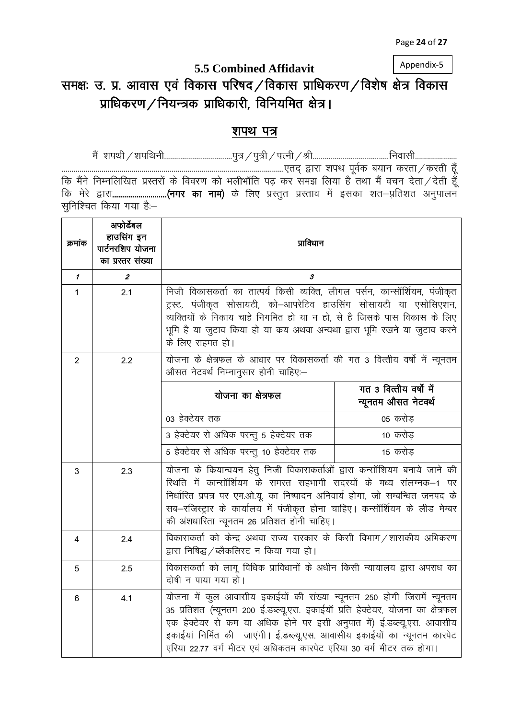## **5.5 Combined Affidavit** समक्षः उ. प्र. आवास एवं विकास परिषद $/$ विकास प्राधिकरण $/$ विशेष क्षेत्र विकास  $\mu$ प्राधिकरण / नियन्त्रक प्राधिकारी, विनियमित क्षेत्र।

### <span id="page-23-0"></span>शपथ पत्र

eSa 'kiFkh@'kifFkuh----------------------------------iq=@iq=h@iRuh@Jh--------------------------------------fuoklh--------------------- ---------------------------------------------------------------------------------------------------------------,rn~ }kjk 'kiFk i woZd c;ku djrk@djrh g¡ aw कि मैंने निम्नलिखित प्रस्तरों के विवरण को भलीभॉति पढ़ कर समझ लिया है तथा मैं वचन देता $\diagup$ देती हूँ कि मेरे द्वारा..........................(नगर का नाम) के लिए प्रस्तुत प्रस्ताव में इसका शत—प्रतिशत अनुपालन सुनिश्चित किया गया है:-

| क्रमांक        | अफोर्डेबल<br>हाउसिंग इन<br>पार्टनरशिप योजना<br>का प्रस्तर संख्या | प्राविधान                                                                                                                                                                                                                                                                                                                                                                               |                                                |  |
|----------------|------------------------------------------------------------------|-----------------------------------------------------------------------------------------------------------------------------------------------------------------------------------------------------------------------------------------------------------------------------------------------------------------------------------------------------------------------------------------|------------------------------------------------|--|
| $\mathcal I$   | $\boldsymbol{z}$                                                 | 3                                                                                                                                                                                                                                                                                                                                                                                       |                                                |  |
| $\mathbf 1$    | 2.1                                                              | निजी विकासकर्ता का तात्पर्य किसी व्यक्ति, लीगल पर्सन, कान्सॉर्शियम, पंजीकृत<br>ट्रस्ट, पंजीकृत सोसायटी, को–आपरेटिव हाउसिंग सोसायटी या एसोसिएशन,<br>व्यक्तियों के निकाय चाहे निगमित हो या न हो, से है जिसके पास विकास के लिए<br>भूमि है या जुटाव किया हो या कय अथवा अन्यथा द्वारा भूमि रखने या जुटाव करने<br>के लिए सहमत हो।                                                             |                                                |  |
| 2              | 2.2                                                              | योजना के क्षेत्रफल के आधार पर विकासकर्ता की गत 3 वित्तीय वर्षो में न्यूनतम<br>औसत नेटवर्थ निम्नानुसार होनी चाहिए:—                                                                                                                                                                                                                                                                      |                                                |  |
|                |                                                                  | योजना का क्षेत्रफल                                                                                                                                                                                                                                                                                                                                                                      | गत 3 वित्तीय वर्षों में<br>न्यूनतम औसत नेटवर्थ |  |
|                |                                                                  | 03 हेक्टेयर तक                                                                                                                                                                                                                                                                                                                                                                          | 05 करोड़                                       |  |
|                |                                                                  | 3 हेक्टेयर से अधिक परन्तु 5 हेक्टेयर तक                                                                                                                                                                                                                                                                                                                                                 | 10 करोड़                                       |  |
|                |                                                                  | 5 हेक्टेयर से अधिक परन्तु 10 हेक्टेयर तक                                                                                                                                                                                                                                                                                                                                                | 15 करोड़                                       |  |
| 3              | 2.3                                                              | योजना के कियान्वयन हेतु निजी विकासकर्ताओं द्वारा कन्सॉशियम बनाये जाने की<br>रिथति में कान्सॉर्शियम के समस्त सहभागी सदस्यों के मध्य संलग्नक–1 पर<br>निर्धारित प्रपत्र पर एम.ओ.यू. का निष्पादन अनिवार्य होगा, जो सम्बन्धित जनपद के<br>सब-रजिस्ट्रार के कार्यालय में पंजीकृत होना चाहिए। कन्सॉर्शियम के लीड मेम्बर<br>की अंशधारिता न्यूनतम 26 प्रतिशत होनी चाहिए।                          |                                                |  |
| $\overline{4}$ | 2.4                                                              | विकासकर्ता को केन्द्र अथवा राज्य सरकार के किसी विभाग /शासकीय अभिकरण<br>द्वारा निषिद्ध / ब्लैकलिस्ट न किया गया हो।                                                                                                                                                                                                                                                                       |                                                |  |
| $\overline{5}$ | 2.5                                                              | विकासकर्ता को लागू विधिक प्राविधानों के अधीन किसी न्यायालय द्वारा अपराध का<br>दोषी न पाया गया हो।                                                                                                                                                                                                                                                                                       |                                                |  |
| $6\phantom{a}$ | 4.1                                                              | योजना में कुल आवासीय इकाईयों की संख्या न्यूनतम 250 होगी जिसमें न्यूनतम<br>35 प्रतिशत (न्यूनतम 200 ई.डब्ल्यू.एस. इकाईयॉ प्रति हेक्टेयर, योजना का क्षेत्रफल<br>एक हेक्टेयर से कम या अधिक होने पर इसी अनुपात में) ई.डब्ल्यू.एस. आवासीय<br>इकाईयां निर्मित की जाएंगी। ई.डब्ल्यू.एस. आवासीय इकाईयों का न्यूनतम कारपेट<br>एरिया 22.77 वर्ग मीटर एवं अधिकतम कारपेट एरिया 30 वर्ग मीटर तक होगा। |                                                |  |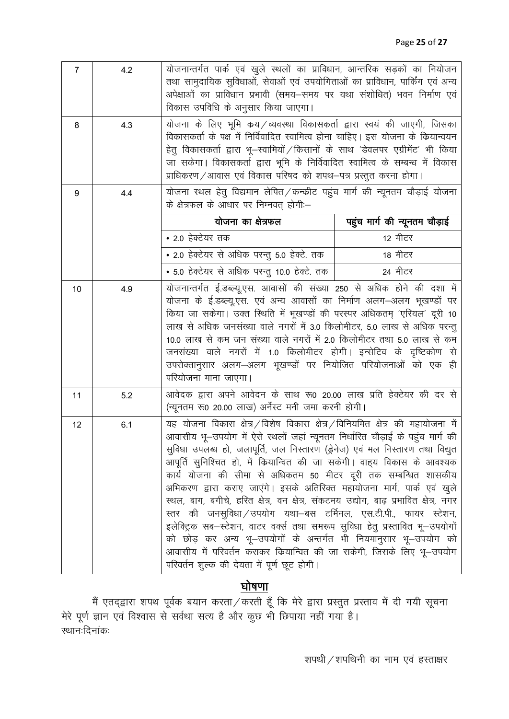| $\overline{7}$ | 4.2 | योजनान्तर्गत पार्क एवं खुले स्थलों का प्राविधान, आन्तरिक सड़कों का नियोजन<br>तथा सामुदायिक सुविधाओं, सेवाओं एवं उपयोगिताओं का प्राविधान, पार्किंग एवं अन्य<br>अपेक्षाओं का प्राविधान प्रभावी (समय–समय पर यथा संशोधित) भवन निर्माण एवं<br>विकास उपविधि के अनुसार किया जाएगा।                                                                                                                                                                                                                                                                                                                                                                                                                                                                                                                                                                                                                                      |                                                                             |  |  |
|----------------|-----|------------------------------------------------------------------------------------------------------------------------------------------------------------------------------------------------------------------------------------------------------------------------------------------------------------------------------------------------------------------------------------------------------------------------------------------------------------------------------------------------------------------------------------------------------------------------------------------------------------------------------------------------------------------------------------------------------------------------------------------------------------------------------------------------------------------------------------------------------------------------------------------------------------------|-----------------------------------------------------------------------------|--|--|
| 8              | 4.3 | योजना के लिए भूमि कय⁄व्यवस्था विकासकर्ता द्वारा स्वयं की जाएगी, जिसका<br>विकासकर्ता के पक्ष में निर्विवादित स्वामित्व होना चाहिए। इस योजना के कियान्वयन<br>हेतु विकासकर्ता द्वारा भू–स्वामियों / किसानों के साथ 'डेवलपर एग्रीमेंट' भी किया<br>जा सकेगा। विकासकर्ता द्वारा भूमि के निर्विवादित स्वामित्व के सम्बन्ध में विकास<br>प्राधिकरण / आवास एवं विकास परिषद को शपथ-पत्र प्रस्तुत करना होगा।                                                                                                                                                                                                                                                                                                                                                                                                                                                                                                                 |                                                                             |  |  |
| 9              | 4.4 | के क्षेत्रफल के आधार पर निम्नवत् होगी:-                                                                                                                                                                                                                                                                                                                                                                                                                                                                                                                                                                                                                                                                                                                                                                                                                                                                          | योजना स्थल हेतु विद्यमान लेपित/कन्क्रीट पहुंच मार्ग की न्यूनतम चौड़ाई योजना |  |  |
|                |     | योजना का क्षेत्रफल                                                                                                                                                                                                                                                                                                                                                                                                                                                                                                                                                                                                                                                                                                                                                                                                                                                                                               | पहुंच मार्ग की न्यूनतम चौड़ाई                                               |  |  |
|                |     | • 2.0 हेक्टेयर तक                                                                                                                                                                                                                                                                                                                                                                                                                                                                                                                                                                                                                                                                                                                                                                                                                                                                                                | 12 मीटर                                                                     |  |  |
|                |     | • 2.0 हेक्टेयर से अधिक परन्तु 5.0 हेक्टे. तक                                                                                                                                                                                                                                                                                                                                                                                                                                                                                                                                                                                                                                                                                                                                                                                                                                                                     | 18 मीटर                                                                     |  |  |
|                |     | • 5.0 हेक्टेयर से अधिक परन्तु 10.0 हेक्टे. तक                                                                                                                                                                                                                                                                                                                                                                                                                                                                                                                                                                                                                                                                                                                                                                                                                                                                    | 24 मीटर                                                                     |  |  |
| 10             | 4.9 | योजनान्तर्गत ई.डब्ल्यू.एस. आवासों की संख्या 250 से अधिक होने की दशा में<br>योजना के ई.डब्ल्यू.एस. एवं अन्य आवासों का निर्माण अलग–अलग भूखण्डों पर<br>किया जा सकेगा। उक्त स्थिति में भूखण्डों की परस्पर अधिकतम् 'एरियल' दूरी 10<br>लाख से अधिक जनसंख्या वाले नगरों में 3.0 किलोमीटर, 5.0 लाख से अधिक परन्तु<br>10.0 लाख से कम जन संख्या वाले नगरों में 2.0 किलोमीटर तथा 5.0 लाख से कम<br>जनसंख्या वाले नगरों में 1.0 किलोमीटर होगी। इन्सेटिव के दृष्टिकोण से<br>उपरोक्तानुसार अलग–अलग भूखण्डों पर नियोजित परियोजनाओं को एक ही<br>परियोजना माना जाएगा।                                                                                                                                                                                                                                                                                                                                                              |                                                                             |  |  |
| 11             | 5.2 | आवेदक द्वारा अपने आवेदन के साथ रू0 20.00 लाख प्रति हेक्टेयर की दर से<br>(न्यूनतम रू0 20.00 लाख) अर्नेस्ट मनी जमा करनी होगी।                                                                                                                                                                                                                                                                                                                                                                                                                                                                                                                                                                                                                                                                                                                                                                                      |                                                                             |  |  |
| 12             | 6.1 | यह योजना विकास क्षेत्र /विशेष विकास क्षेत्र /विनियमित क्षेत्र की महायोजना में<br>आवासीय भू—उपयोग में ऐसे स्थलों जहां न्यूनतम निर्धारित चौड़ाई के पहुंच मार्ग की<br>सुविधा उपलब्ध हो, जलापूर्ति, जल निस्तारण (ड्रेनेज) एवं मल निस्तारण तथा विद्युत<br>आपूर्ति सुनिश्चित हो, में कियान्वित की जा सकेगी। वाह्य विकास के आवश्यक<br>कार्य योजना की सीमा से अधिकतम 50 मीटर दूरी तक सम्बन्धित शासकीय<br>अभिकरण द्वारा कराए जाएंगे। इसके अतिरिक्त महायोजना मार्ग, पार्क एवं खुले<br>स्थल, बाग, बगीचे, हरित क्षेत्र, वन क्षेत्र, संकटमय उद्योग, बाढ़ प्रभावित क्षेत्र, नगर<br>स्तर की जनसुविधा / उपयोग यथा–बस टर्मिनल, एस.टी.पी., फायर स्टेशन,<br>इलेक्ट्रिक सब-स्टेशन, वाटर वर्क्स तथा समरूप सुविधा हेतु प्रस्तावित भू-उपयोगों<br>को छोड़ कर अन्य भू-उपयोगों के अन्तर्गत भी नियमानुसार भू-उपयोग को<br>आवासीय में परिवर्तन कराकर कियान्वित की जा सकेगी, जिसके लिए भू-उपयोग<br>परिवर्तन शुल्क की देयता में पूर्ण छूट होगी। |                                                                             |  |  |

## <u>घोषणा</u>

मैं एतद्द्वारा शपथ पूर्वक बयान करता ⁄ करती हूँ कि मेरे द्वारा प्रस्तुत प्रस्ताव में दी गयी सूचना मेरे पूर्ण ज्ञान एवं विश्वास से सर्वथा सत्य है और कुछ भी छिपाया नहीं गया है। स्थानःदिनांकः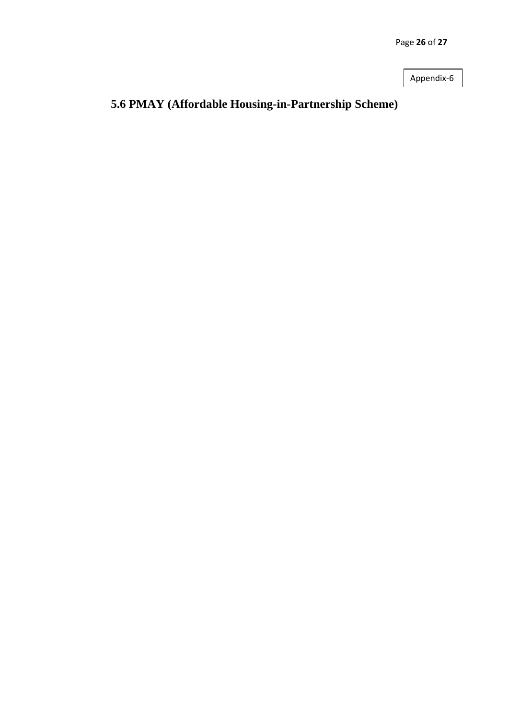Page **26** of **27**

Appendix-6

## <span id="page-25-0"></span>**5.6 PMAY (Affordable Housing-in-Partnership Scheme)**